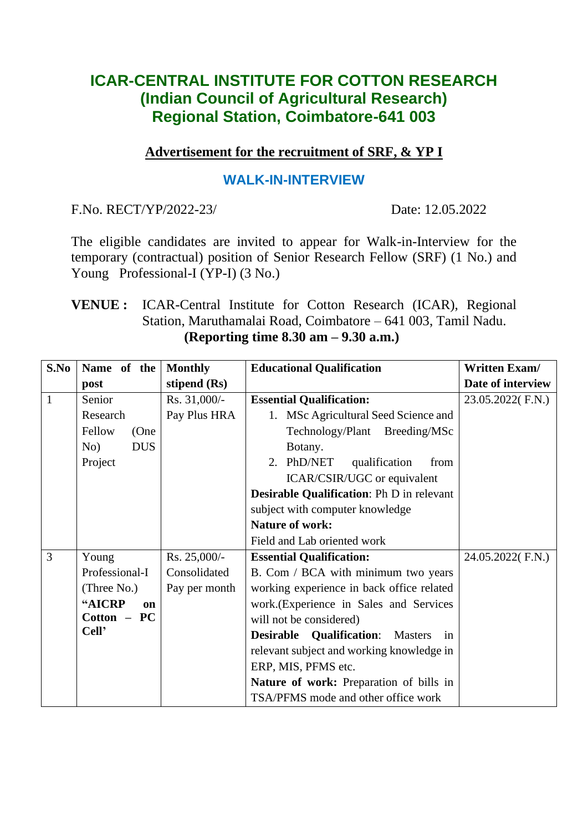# **ICAR-CENTRAL INSTITUTE FOR COTTON RESEARCH (Indian Council of Agricultural Research) Regional Station, Coimbatore-641 003**

## **Advertisement for the recruitment of SRF, & YP I**

## **WALK-IN-INTERVIEW**

F.No. RECT/YP/2022-23/ Date: 12.05.2022

The eligible candidates are invited to appear for Walk-in-Interview for the temporary (contractual) position of Senior Research Fellow (SRF) (1 No.) and Young Professional-I (YP-I) (3 No.)

## **VENUE :** ICAR-Central Institute for Cotton Research (ICAR), Regional Station, Maruthamalai Road, Coimbatore – 641 003, Tamil Nadu. **(Reporting time 8.30 am – 9.30 a.m.)**

| S.No         | Name of the       | <b>Monthly</b> | <b>Educational Qualification</b>                 | <b>Written Exam/</b> |
|--------------|-------------------|----------------|--------------------------------------------------|----------------------|
|              | post              | stipend (Rs)   |                                                  | Date of interview    |
| $\mathbf{1}$ | Senior            | Rs. 31,000/-   | <b>Essential Qualification:</b>                  | 23.05.2022(F.N.)     |
|              | Research          | Pay Plus HRA   | 1. MSc Agricultural Seed Science and             |                      |
|              | Fellow<br>(One    |                | Technology/Plant Breeding/MSc                    |                      |
|              | <b>DUS</b><br>No) |                | Botany.                                          |                      |
|              | Project           |                | 2. PhD/NET<br>qualification<br>from              |                      |
|              |                   |                | ICAR/CSIR/UGC or equivalent                      |                      |
|              |                   |                | <b>Desirable Qualification:</b> Ph D in relevant |                      |
|              |                   |                | subject with computer knowledge                  |                      |
|              |                   |                | <b>Nature of work:</b>                           |                      |
|              |                   |                | Field and Lab oriented work                      |                      |
| 3            | Young             | Rs. 25,000/-   | <b>Essential Qualification:</b>                  | 24.05.2022(F.N.)     |
|              | Professional-I    | Consolidated   | B. Com / BCA with minimum two years              |                      |
|              | (Three No.)       | Pay per month  | working experience in back office related        |                      |
|              | "AICRP<br>on      |                | work. (Experience in Sales and Services          |                      |
|              | Cotton – PC       |                | will not be considered)                          |                      |
|              | Cell'             |                | <b>Desirable Qualification:</b><br>Masters<br>in |                      |
|              |                   |                | relevant subject and working knowledge in        |                      |
|              |                   |                | ERP, MIS, PFMS etc.                              |                      |
|              |                   |                | Nature of work: Preparation of bills in          |                      |
|              |                   |                | TSA/PFMS mode and other office work              |                      |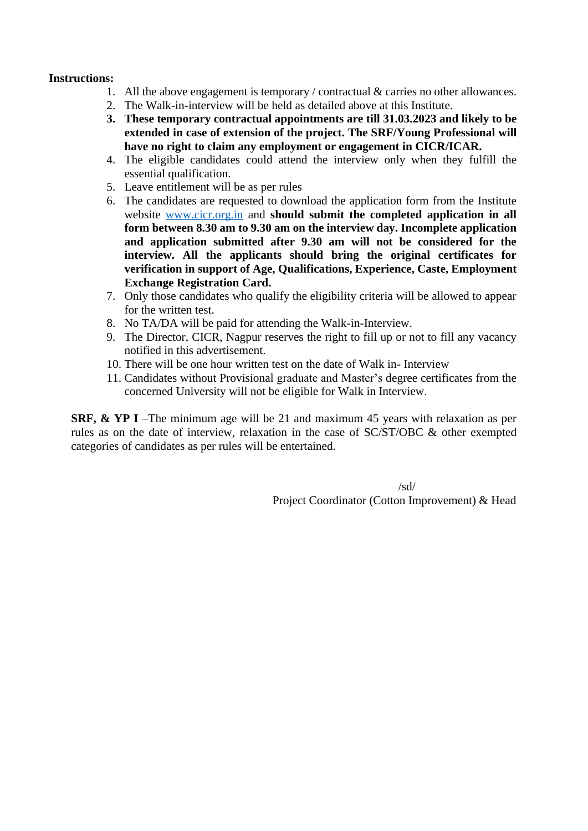#### **Instructions:**

- 1. All the above engagement is temporary / contractual & carries no other allowances.
- 2. The Walk-in-interview will be held as detailed above at this Institute.
- **3. These temporary contractual appointments are till 31.03.2023 and likely to be extended in case of extension of the project. The SRF/Young Professional will have no right to claim any employment or engagement in CICR/ICAR.**
- 4. The eligible candidates could attend the interview only when they fulfill the essential qualification.
- 5. Leave entitlement will be as per rules
- 6. The candidates are requested to download the application form from the Institute website [www.cicr.org.in](http://www.cicr.org.in/) and **should submit the completed application in all form between 8.30 am to 9.30 am on the interview day. Incomplete application and application submitted after 9.30 am will not be considered for the interview. All the applicants should bring the original certificates for verification in support of Age, Qualifications, Experience, Caste, Employment Exchange Registration Card.**
- 7. Only those candidates who qualify the eligibility criteria will be allowed to appear for the written test.
- 8. No TA/DA will be paid for attending the Walk-in-Interview.
- 9. The Director, CICR, Nagpur reserves the right to fill up or not to fill any vacancy notified in this advertisement.
- 10. There will be one hour written test on the date of Walk in- Interview
- 11. Candidates without Provisional graduate and Master's degree certificates from the concerned University will not be eligible for Walk in Interview.

**SRF, & YP I** –The minimum age will be 21 and maximum 45 years with relaxation as per rules as on the date of interview, relaxation in the case of SC/ST/OBC & other exempted categories of candidates as per rules will be entertained.

> /sd/ Project Coordinator (Cotton Improvement) & Head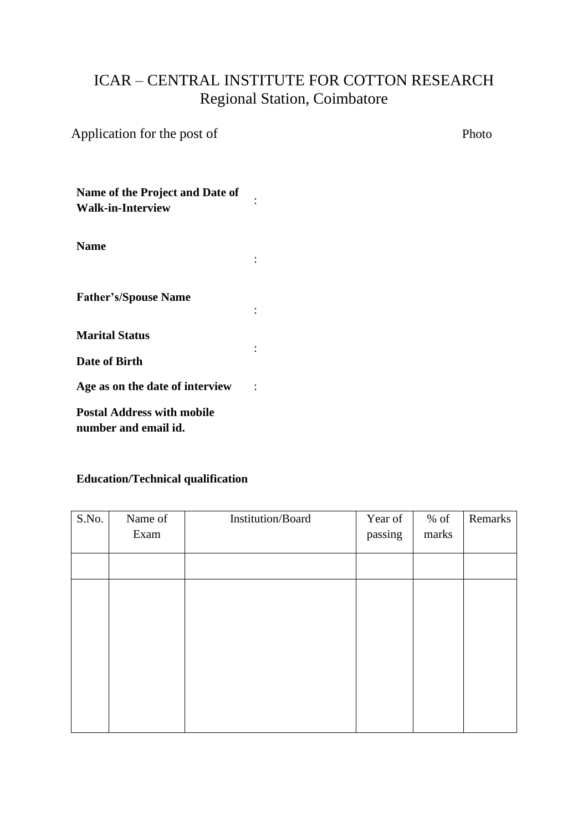# ICAR – CENTRAL INSTITUTE FOR COTTON RESEARCH Regional Station, Coimbatore

:

:

:

| Application for the post of | Photo |
|-----------------------------|-------|
|                             |       |

**Name of the Project and Date of Walk-in-Interview** :

**Name**

**Father's/Spouse Name**

**Marital Status**

**Date of Birth**

**Age as on the date of interview** :

**Postal Address with mobile number and email id.**

### **Education/Technical qualification**

| S.No. | Name of | Institution/Board | Year of | $%$ of | Remarks |
|-------|---------|-------------------|---------|--------|---------|
|       | Exam    |                   | passing | marks  |         |
|       |         |                   |         |        |         |
|       |         |                   |         |        |         |
|       |         |                   |         |        |         |
|       |         |                   |         |        |         |
|       |         |                   |         |        |         |
|       |         |                   |         |        |         |
|       |         |                   |         |        |         |
|       |         |                   |         |        |         |
|       |         |                   |         |        |         |
|       |         |                   |         |        |         |